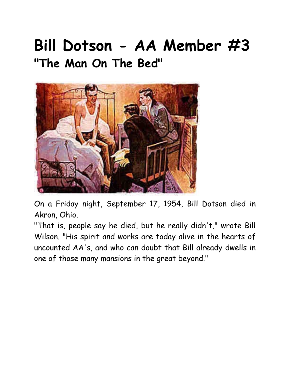## **Bill Dotson - AA Member #3 "The Man On The Bed"**



On a Friday night, September 17, 1954, Bill Dotson died in Akron, Ohio.

"That is, people say he died, but he really didn't," wrote Bill Wilson. "His spirit and works are today alive in the hearts of uncounted AA's, and who can doubt that Bill already dwells in one of those many mansions in the great beyond."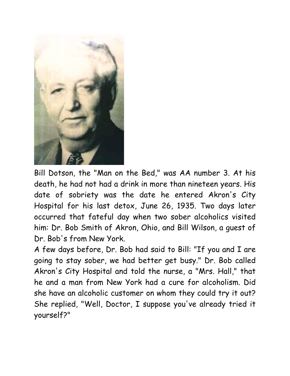

Bill Dotson, the "Man on the Bed," was AA number 3. At his death, he had not had a drink in more than nineteen years. His date of sobriety was the date he entered Akron's City Hospital for his last detox, June 26, 1935. Two days later occurred that fateful day when two sober alcoholics visited him: Dr. Bob Smith of Akron, Ohio, and Bill Wilson, a guest of Dr. Bob's from New York.

A few days before, Dr. Bob had said to Bill: "If you and I are going to stay sober, we had better get busy." Dr. Bob called Akron's City Hospital and told the nurse, a "Mrs. Hall," that he and a man from New York had a cure for alcoholism. Did she have an alcoholic customer on whom they could try it out? She replied, "Well, Doctor, I suppose you've already tried it yourself?"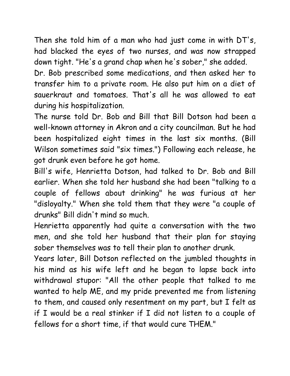Then she told him of a man who had just come in with DT's, had blacked the eyes of two nurses, and was now strapped down tight. "He's a grand chap when he's sober," she added.

Dr. Bob prescribed some medications, and then asked her to transfer him to a private room. He also put him on a diet of sauerkraut and tomatoes. That's all he was allowed to eat during his hospitalization.

The nurse told Dr. Bob and Bill that Bill Dotson had been a well-known attorney in Akron and a city councilman. But he had been hospitalized eight times in the last six months. (Bill Wilson sometimes said "six times.") Following each release, he got drunk even before he got home.

Bill's wife, Henrietta Dotson, had talked to Dr. Bob and Bill earlier. When she told her husband she had been "talking to a couple of fellows about drinking" he was furious at her "disloyalty." When she told them that they were "a couple of drunks" Bill didn't mind so much.

Henrietta apparently had quite a conversation with the two men, and she told her husband that their plan for staying sober themselves was to tell their plan to another drunk.

Years later, Bill Dotson reflected on the jumbled thoughts in his mind as his wife left and he began to lapse back into withdrawal stupor: "All the other people that talked to me wanted to help ME, and my pride prevented me from listening to them, and caused only resentment on my part, but I felt as if I would be a real stinker if I did not listen to a couple of fellows for a short time, if that would cure THEM."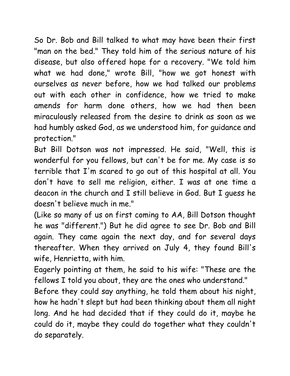So Dr. Bob and Bill talked to what may have been their first "man on the bed." They told him of the serious nature of his disease, but also offered hope for a recovery. "We told him what we had done," wrote Bill, "how we got honest with ourselves as never before, how we had talked our problems out with each other in confidence, how we tried to make amends for harm done others, how we had then been miraculously released from the desire to drink as soon as we had humbly asked God, as we understood him, for guidance and protection."

But Bill Dotson was not impressed. He said, "Well, this is wonderful for you fellows, but can't be for me. My case is so terrible that I'm scared to go out of this hospital at all. You don't have to sell me religion, either. I was at one time a deacon in the church and I still believe in God. But I guess he doesn't believe much in me."

(Like so many of us on first coming to AA, Bill Dotson thought he was "different.") But he did agree to see Dr. Bob and Bill again. They came again the next day, and for several days thereafter. When they arrived on July 4, they found Bill's wife, Henrietta, with him.

Eagerly pointing at them, he said to his wife: "These are the fellows I told you about, they are the ones who understand."

Before they could say anything, he told them about his night, how he hadn't slept but had been thinking about them all night long. And he had decided that if they could do it, maybe he could do it, maybe they could do together what they couldn't do separately.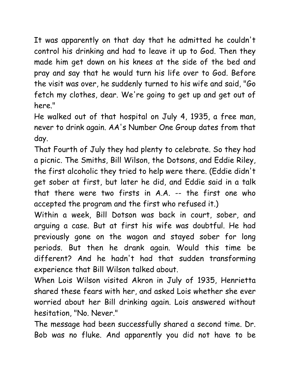It was apparently on that day that he admitted he couldn't control his drinking and had to leave it up to God. Then they made him get down on his knees at the side of the bed and pray and say that he would turn his life over to God. Before the visit was over, he suddenly turned to his wife and said, "Go fetch my clothes, dear. We're going to get up and get out of here."

He walked out of that hospital on July 4, 1935, a free man, never to drink again. AA's Number One Group dates from that day.

That Fourth of July they had plenty to celebrate. So they had a picnic. The Smiths, Bill Wilson, the Dotsons, and Eddie Riley, the first alcoholic they tried to help were there. (Eddie didn't get sober at first, but later he did, and Eddie said in a talk that there were two firsts in A.A. -- the first one who accepted the program and the first who refused it.)

Within a week, Bill Dotson was back in court, sober, and arguing a case. But at first his wife was doubtful. He had previously gone on the wagon and stayed sober for long periods. But then he drank again. Would this time be different? And he hadn't had that sudden transforming experience that Bill Wilson talked about.

When Lois Wilson visited Akron in July of 1935, Henrietta shared these fears with her, and asked Lois whether she ever worried about her Bill drinking again. Lois answered without hesitation, "No. Never."

The message had been successfully shared a second time. Dr. Bob was no fluke. And apparently you did not have to be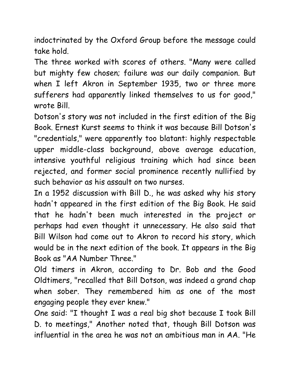indoctrinated by the Oxford Group before the message could take hold.

The three worked with scores of others. "Many were called but mighty few chosen; failure was our daily companion. But when I left Akron in September 1935, two or three more sufferers had apparently linked themselves to us for good," wrote Bill.

Dotson's story was not included in the first edition of the Big Book. Ernest Kurst seems to think it was because Bill Dotson's "credentials," were apparently too blatant: highly respectable upper middle-class background, above average education, intensive youthful religious training which had since been rejected, and former social prominence recently nullified by such behavior as his assault on two nurses.

In a 1952 discussion with Bill D., he was asked why his story hadn't appeared in the first edition of the Big Book. He said that he hadn't been much interested in the project or perhaps had even thought it unnecessary. He also said that Bill Wilson had come out to Akron to record his story, which would be in the next edition of the book. It appears in the Big Book as "AA Number Three."

Old timers in Akron, according to Dr. Bob and the Good Oldtimers, "recalled that Bill Dotson, was indeed a grand chap when sober. They remembered him as one of the most engaging people they ever knew."

One said: "I thought I was a real big shot because I took Bill D. to meetings," Another noted that, though Bill Dotson was influential in the area he was not an ambitious man in AA. "He